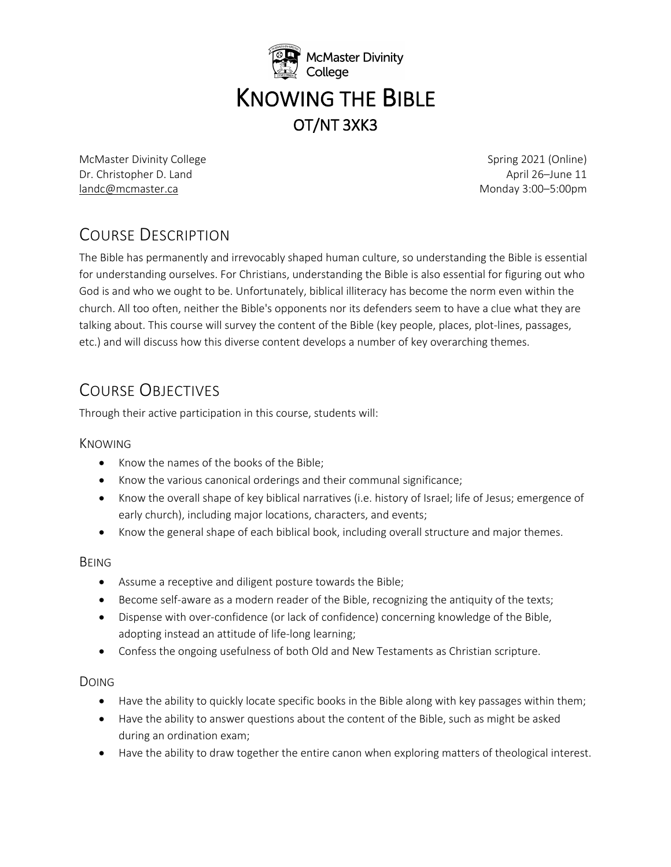

McMaster Divinity College **Spring 2021** (Online) **Spring 2021** (Online) Dr. Christopher D. Land April 26–June 11 landc@mcmaster.ca Monday 3:00–5:00pm

# COURSE DESCRIPTION

The Bible has permanently and irrevocably shaped human culture, so understanding the Bible is essential for understanding ourselves. For Christians, understanding the Bible is also essential for figuring out who God is and who we ought to be. Unfortunately, biblical illiteracy has become the norm even within the church. All too often, neither the Bible's opponents nor its defenders seem to have a clue what they are talking about. This course will survey the content of the Bible (key people, places, plot-lines, passages, etc.) and will discuss how this diverse content develops a number of key overarching themes.

# COURSE OBJECTIVES

Through their active participation in this course, students will:

### KNOWING

- Know the names of the books of the Bible;
- Know the various canonical orderings and their communal significance;
- Know the overall shape of key biblical narratives (i.e. history of Israel; life of Jesus; emergence of early church), including major locations, characters, and events;
- Know the general shape of each biblical book, including overall structure and major themes.

### BEING

- Assume a receptive and diligent posture towards the Bible;
- Become self-aware as a modern reader of the Bible, recognizing the antiquity of the texts;
- Dispense with over-confidence (or lack of confidence) concerning knowledge of the Bible, adopting instead an attitude of life-long learning;
- Confess the ongoing usefulness of both Old and New Testaments as Christian scripture.

### DOING

- Have the ability to quickly locate specific books in the Bible along with key passages within them;
- Have the ability to answer questions about the content of the Bible, such as might be asked during an ordination exam;
- Have the ability to draw together the entire canon when exploring matters of theological interest.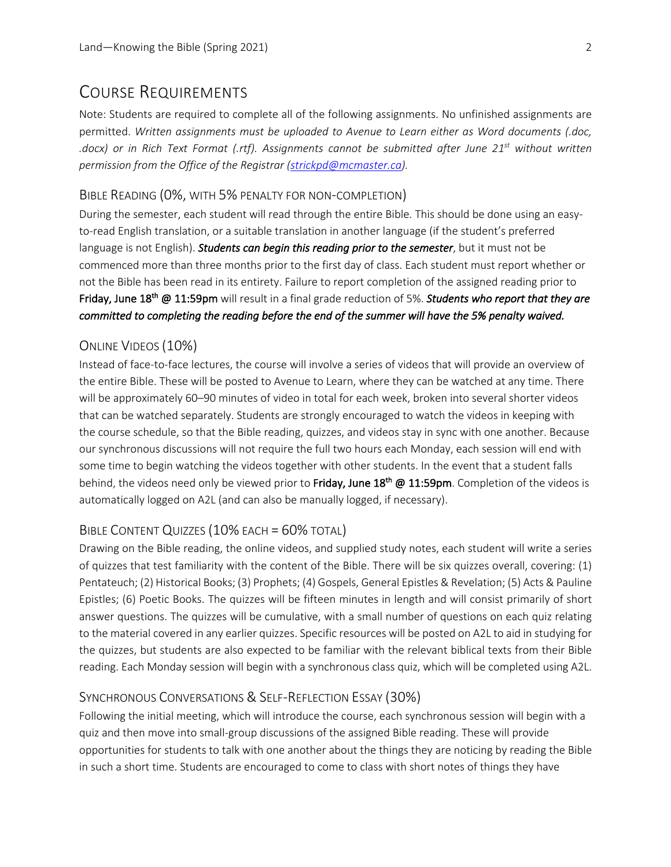## COURSE REQUIREMENTS

Note: Students are required to complete all of the following assignments. No unfinished assignments are permitted. *Written assignments must be uploaded to Avenue to Learn either as Word documents (.doc, .docx) or in Rich Text Format (.rtf). Assignments cannot be submitted after June 21st without written permission from the Office of the Registrar (strickpd@mcmaster.ca).*

#### BIBLE READING (0%, WITH 5% PENALTY FOR NON-COMPLETION)

During the semester, each student will read through the entire Bible. This should be done using an easyto-read English translation, or a suitable translation in another language (if the student's preferred language is not English). *Students can begin this reading prior to the semester*, but it must not be commenced more than three months prior to the first day of class. Each student must report whether or not the Bible has been read in its entirety. Failure to report completion of the assigned reading prior to Friday, June 18th @ 11:59pm will result in a final grade reduction of 5%. *Students who report that they are committed to completing the reading before the end of the summer will have the 5% penalty waived.*

#### ONLINE VIDEOS (10%)

Instead of face-to-face lectures, the course will involve a series of videos that will provide an overview of the entire Bible. These will be posted to Avenue to Learn, where they can be watched at any time. There will be approximately 60–90 minutes of video in total for each week, broken into several shorter videos that can be watched separately. Students are strongly encouraged to watch the videos in keeping with the course schedule, so that the Bible reading, quizzes, and videos stay in sync with one another. Because our synchronous discussions will not require the full two hours each Monday, each session will end with some time to begin watching the videos together with other students. In the event that a student falls behind, the videos need only be viewed prior to Friday, June 18<sup>th</sup> @ 11:59pm. Completion of the videos is automatically logged on A2L (and can also be manually logged, if necessary).

#### BIBLE CONTENT QUIZZES (10% EACH = 60% TOTAL)

Drawing on the Bible reading, the online videos, and supplied study notes, each student will write a series of quizzes that test familiarity with the content of the Bible. There will be six quizzes overall, covering: (1) Pentateuch; (2) Historical Books; (3) Prophets; (4) Gospels, General Epistles & Revelation; (5) Acts & Pauline Epistles; (6) Poetic Books. The quizzes will be fifteen minutes in length and will consist primarily of short answer questions. The quizzes will be cumulative, with a small number of questions on each quiz relating to the material covered in any earlier quizzes. Specific resources will be posted on A2L to aid in studying for the quizzes, but students are also expected to be familiar with the relevant biblical texts from their Bible reading. Each Monday session will begin with a synchronous class quiz, which will be completed using A2L.

#### SYNCHRONOUS CONVERSATIONS & SELF-REFLECTION ESSAY (30%)

Following the initial meeting, which will introduce the course, each synchronous session will begin with a quiz and then move into small-group discussions of the assigned Bible reading. These will provide opportunities for students to talk with one another about the things they are noticing by reading the Bible in such a short time. Students are encouraged to come to class with short notes of things they have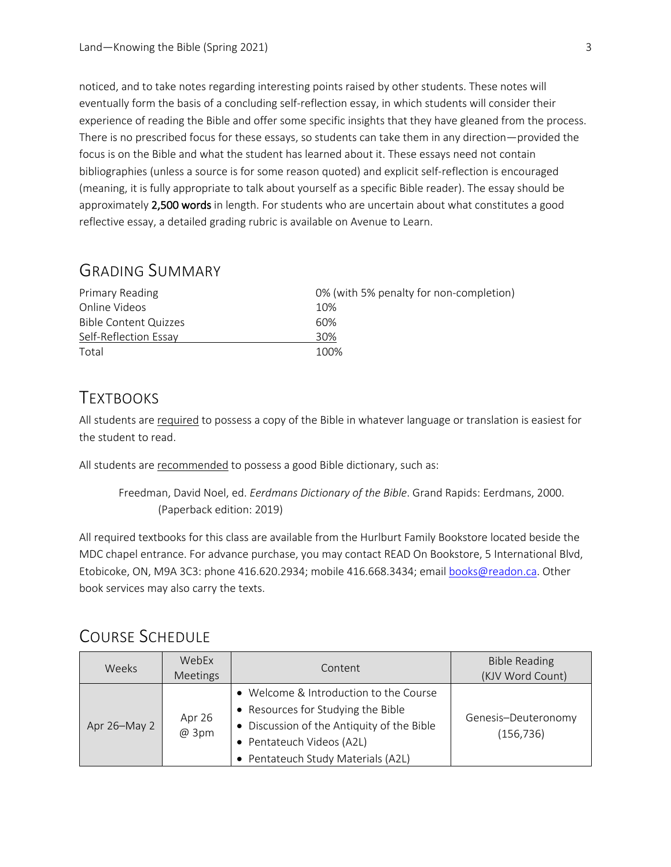noticed, and to take notes regarding interesting points raised by other students. These notes will eventually form the basis of a concluding self-reflection essay, in which students will consider their experience of reading the Bible and offer some specific insights that they have gleaned from the process. There is no prescribed focus for these essays, so students can take them in any direction—provided the focus is on the Bible and what the student has learned about it. These essays need not contain bibliographies (unless a source is for some reason quoted) and explicit self-reflection is encouraged (meaning, it is fully appropriate to talk about yourself as a specific Bible reader). The essay should be approximately 2,500 words in length. For students who are uncertain about what constitutes a good reflective essay, a detailed grading rubric is available on Avenue to Learn.

### GRADING SUMMARY

| 0% (with 5% penalty for non-completion)<br><b>Primary Reading</b> |      |  |
|-------------------------------------------------------------------|------|--|
| Online Videos                                                     | 10%  |  |
| Bible Content Quizzes                                             | 60%  |  |
| Self-Reflection Essay                                             | 30%  |  |
| Total                                                             | 100% |  |

### **TEXTBOOKS**

All students are required to possess a copy of the Bible in whatever language or translation is easiest for the student to read.

All students are recommended to possess a good Bible dictionary, such as:

Freedman, David Noel, ed. *Eerdmans Dictionary of the Bible*. Grand Rapids: Eerdmans, 2000. (Paperback edition: 2019)

All required textbooks for this class are available from the Hurlburt Family Bookstore located beside the MDC chapel entrance. For advance purchase, you may contact READ On Bookstore, 5 International Blvd, Etobicoke, ON, M9A 3C3: phone 416.620.2934; mobile 416.668.3434; email books@readon.ca. Other book services may also carry the texts.

## COURSE SCHEDULE

| Weeks        | WebEx<br>Meetings | Content                                                                                                                                                                                       | <b>Bible Reading</b><br>(KJV Word Count) |
|--------------|-------------------|-----------------------------------------------------------------------------------------------------------------------------------------------------------------------------------------------|------------------------------------------|
| Apr 26-May 2 | Apr 26<br>@ 3pm   | • Welcome & Introduction to the Course<br>• Resources for Studying the Bible<br>• Discussion of the Antiquity of the Bible<br>• Pentateuch Videos (A2L)<br>• Pentateuch Study Materials (A2L) | Genesis-Deuteronomy<br>(156, 736)        |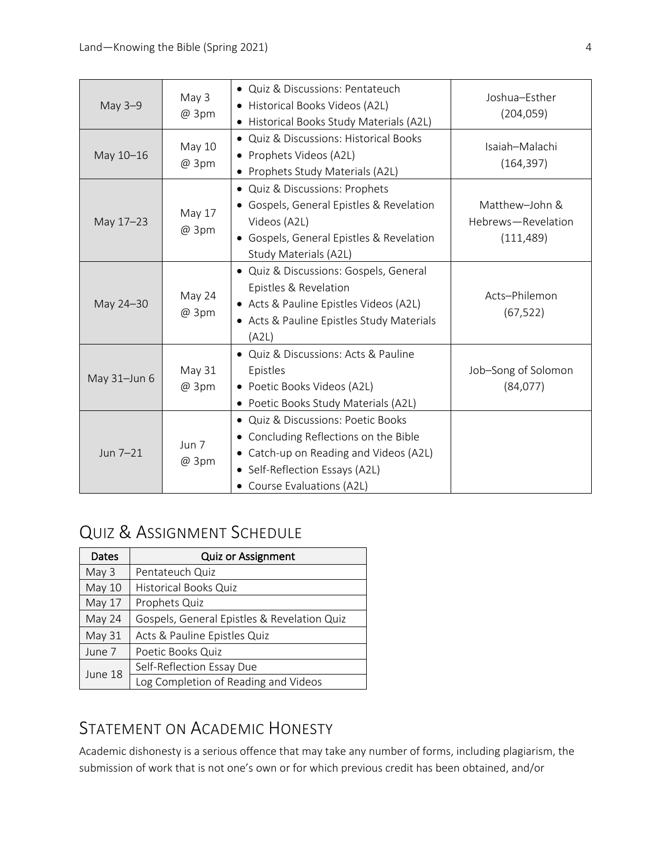| May 3-9      | May 3<br>@ 3pm  | • Quiz & Discussions: Pentateuch<br>• Historical Books Videos (A2L)<br>• Historical Books Study Materials (A2L)                                                                                  | Joshua-Esther<br>(204, 059)                        |
|--------------|-----------------|--------------------------------------------------------------------------------------------------------------------------------------------------------------------------------------------------|----------------------------------------------------|
| May 10-16    | May 10<br>@ 3pm | • Quiz & Discussions: Historical Books<br>• Prophets Videos (A2L)<br>• Prophets Study Materials (A2L)                                                                                            | Isaiah-Malachi<br>(164, 397)                       |
| May 17-23    | May 17<br>@ 3pm | • Quiz & Discussions: Prophets<br>• Gospels, General Epistles & Revelation<br>Videos (A2L)<br>• Gospels, General Epistles & Revelation<br>Study Materials (A2L)                                  | Matthew-John &<br>Hebrews-Revelation<br>(111, 489) |
| May 24-30    | May 24<br>@ 3pm | • Quiz & Discussions: Gospels, General<br>Epistles & Revelation<br>• Acts & Pauline Epistles Videos (A2L)<br>• Acts & Pauline Epistles Study Materials<br>(A2L)                                  | Acts-Philemon<br>(67, 522)                         |
| May 31-Jun 6 | May 31<br>@ 3pm | • Quiz & Discussions: Acts & Pauline<br>Epistles<br>• Poetic Books Videos (A2L)<br>• Poetic Books Study Materials (A2L)                                                                          | Job-Song of Solomon<br>(84,077)                    |
| Jun 7-21     | Jun 7<br>@ 3pm  | • Quiz & Discussions: Poetic Books<br>Concluding Reflections on the Bible<br>$\bullet$<br>• Catch-up on Reading and Videos (A2L)<br>• Self-Reflection Essays (A2L)<br>• Course Evaluations (A2L) |                                                    |

# QUIZ & ASSIGNMENT SCHEDULE

| Dates         | <b>Quiz or Assignment</b>                   |
|---------------|---------------------------------------------|
| May 3         | Pentateuch Quiz                             |
| <b>May 10</b> | <b>Historical Books Quiz</b>                |
| May 17        | Prophets Quiz                               |
| May 24        | Gospels, General Epistles & Revelation Quiz |
| May 31        | Acts & Pauline Epistles Quiz                |
| June 7        | Poetic Books Quiz                           |
| June 18       | Self-Reflection Essay Due                   |
|               | Log Completion of Reading and Videos        |

## STATEMENT ON ACADEMIC HONESTY

Academic dishonesty is a serious offence that may take any number of forms, including plagiarism, the submission of work that is not one's own or for which previous credit has been obtained, and/or